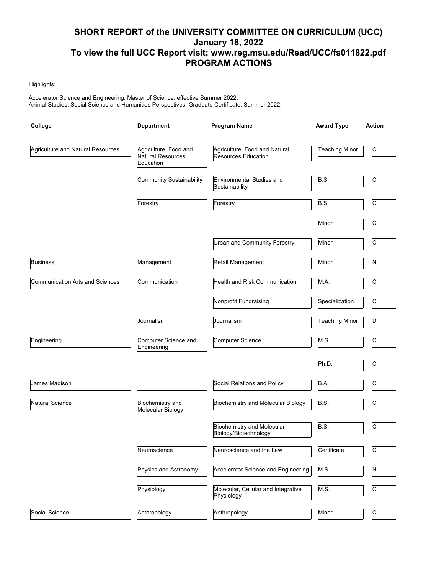# **SHORT REPORT of the UNIVERSITY COMMITTEE ON CURRICULUM (UCC) January 18, 2022 To view the full UCC Report visit: www.reg.msu.edu/Read/UCC/fs011822.pdf PROGRAM ACTIONS**

#### Highlights:

Accelerator Science and Engineering, Master of Science, effective Summer 2022. Animal Studies: Social Science and Humanities Perspectives, Graduate Certificate, Summer 2022.

| College                           | <b>Department</b>                                       | <b>Program Name</b>                                         | <b>Award Type</b>     | <b>Action</b> |  |
|-----------------------------------|---------------------------------------------------------|-------------------------------------------------------------|-----------------------|---------------|--|
| Agriculture and Natural Resources | Agriculture, Food and<br>Natural Resources<br>Education | Agriculture, Food and Natural<br><b>Resources Education</b> | <b>Teaching Minor</b> | c             |  |
|                                   | Community Sustainability                                | Environmental Studies and<br>Sustainability                 | B.S.                  | C             |  |
|                                   | Forestry                                                | Forestry                                                    | B.S.                  | C             |  |
|                                   |                                                         |                                                             | Minor                 | С             |  |
|                                   |                                                         | Urban and Community Forestry                                | Minor                 | C             |  |
| <b>Business</b>                   | Management                                              | Retail Management                                           | Minor                 | N             |  |
| Communication Arts and Sciences   | Communication                                           | Health and Risk Communication                               | M.A.                  | c             |  |
|                                   |                                                         | Nonprofit Fundraising                                       | Specialization        | C             |  |
|                                   | Journalism                                              | Journalism                                                  | <b>Teaching Minor</b> | D             |  |
| Engineering                       | Computer Science and<br>Engineering                     | Computer Science                                            | M.S.                  | C             |  |
|                                   |                                                         |                                                             | Ph.D.                 | c             |  |
| James Madison                     |                                                         | Social Relations and Policy                                 | B.A.                  | C             |  |
| Natural Science                   | Biochemistry and<br>Molecular Biology                   | <b>Biochemistry and Molecular Biology</b>                   | B.S.                  | c             |  |
|                                   |                                                         | <b>Biochemistry and Molecular</b><br>Biology/Biotechnology  | B.S.                  | C             |  |
|                                   | Neuroscience                                            | Neuroscience and the Law                                    | Certificate           | C             |  |
|                                   | Physics and Astronomy                                   | Accelerator Science and Engineering                         | M.S.                  | N             |  |
|                                   | Physiology                                              | Molecular, Cellular and Integrative<br>Physiology           | M.S.                  | c             |  |
| Social Science                    | Anthropology                                            | Anthropology                                                | Minor                 | $\mathsf{C}$  |  |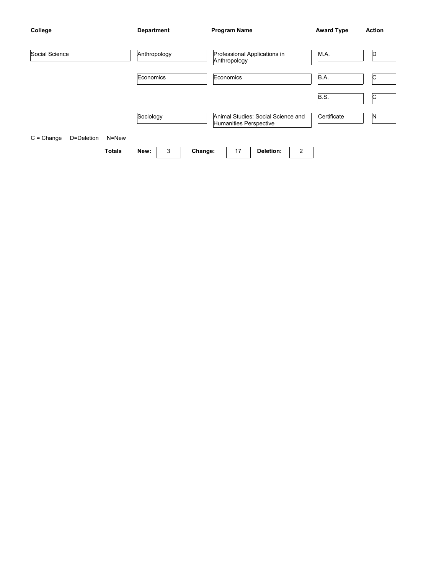| College        |            |               | <b>Department</b>                                            |         | <b>Program Name</b>                          |           |      | <b>Award Type</b> | <b>Action</b> |
|----------------|------------|---------------|--------------------------------------------------------------|---------|----------------------------------------------|-----------|------|-------------------|---------------|
| Social Science |            |               | Anthropology                                                 |         | Professional Applications in<br>Anthropology |           | M.A. | D                 |               |
|                |            |               | Economics                                                    |         | Economics                                    |           |      | B.A.              | C             |
|                |            |               |                                                              |         |                                              |           |      | B.S.              | C             |
| Sociology      |            |               | Animal Studies: Social Science and<br>Humanities Perspective |         | Certificate                                  | N         |      |                   |               |
| $C = Change$   | D=Deletion | N=New         |                                                              |         |                                              |           |      |                   |               |
|                |            | <b>Totals</b> | 3<br>New:                                                    | Change: | 17                                           | Deletion: | 2    |                   |               |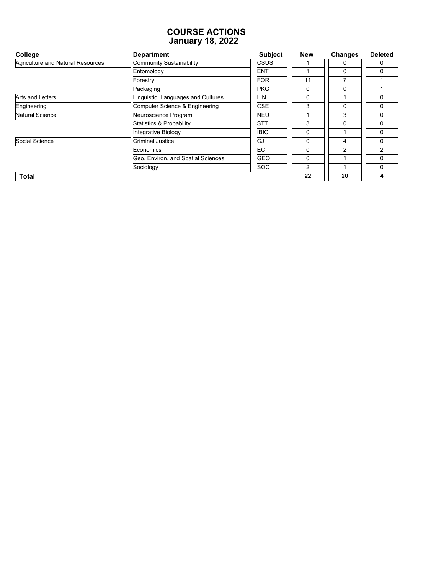#### **COURSE ACTIONS January 18, 2022**

| College                           | <b>Department</b>                  | <b>Subject</b> | <b>New</b>     | <b>Changes</b> | <b>Deleted</b> |
|-----------------------------------|------------------------------------|----------------|----------------|----------------|----------------|
| Agriculture and Natural Resources | <b>Community Sustainability</b>    | <b>CSUS</b>    |                | 0              | 0              |
|                                   | Entomology                         | <b>ENT</b>     |                | $\mathbf{0}$   | $\Omega$       |
|                                   | Forestry                           | <b>FOR</b>     | 11             |                |                |
|                                   | Packaging                          | <b>PKG</b>     | $\Omega$       | $\mathbf{0}$   |                |
| <b>Arts and Letters</b>           | Linguistic, Languages and Cultures | LIN            | $\Omega$       |                | $\Omega$       |
| Engineering                       | Computer Science & Engineering     | <b>CSE</b>     | 3              | 0              | $\Omega$       |
| Natural Science                   | Neuroscience Program               | <b>NEU</b>     |                | 3              | $\Omega$       |
|                                   | Statistics & Probability           | <b>STT</b>     | 3              | $\mathbf{0}$   | $\Omega$       |
|                                   | Integrative Biology                | <b>IBIO</b>    | 0              |                | $\Omega$       |
| Social Science                    | <b>Criminal Justice</b>            | CJ             | 0              | 4              | $\Omega$       |
|                                   | Economics                          | EC.            | 0              | $\overline{2}$ | $\overline{2}$ |
|                                   | Geo, Environ, and Spatial Sciences | <b>GEO</b>     | $\mathbf{0}$   |                | $\Omega$       |
|                                   | Sociology                          | <b>SOC</b>     | $\overline{2}$ |                | $\Omega$       |
| <b>Total</b>                      |                                    |                | 22             | 20             | 4              |